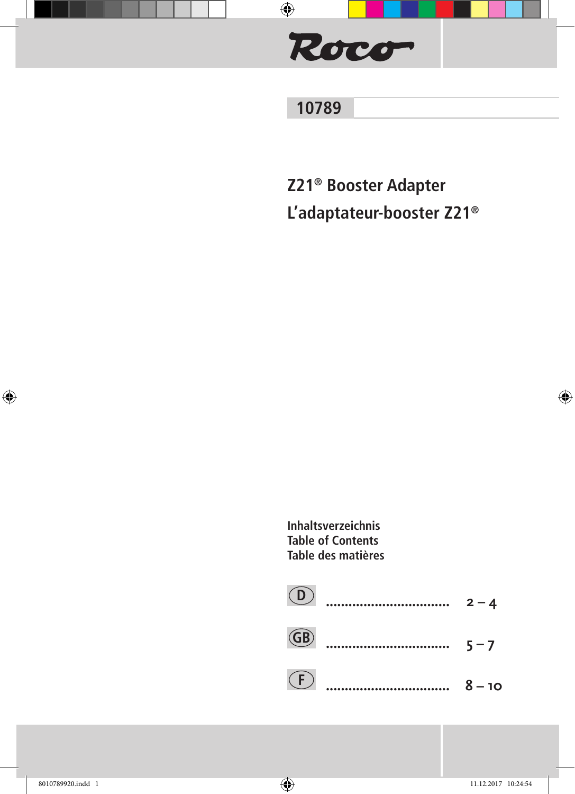

**10789**

**Z21® Booster Adapter L'adaptateur-booster Z21®**

**Inhaltsverzeichnis Table of Contents Table des mati�res**

| $\left(\mathbf{D}\right)$ |          |
|---------------------------|----------|
|                           |          |
| (F)                       | $8 - 10$ |

 $\bigoplus$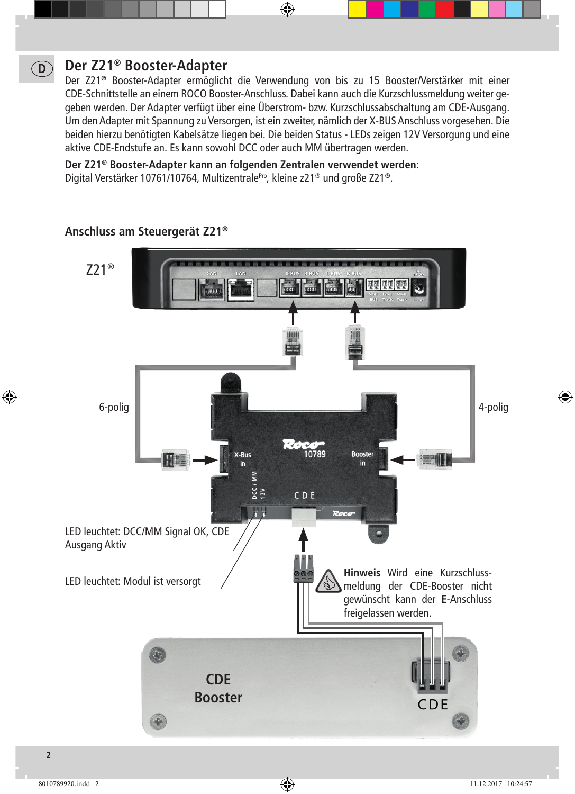# **D Der Z21® Booster-Adapter**

Der Z21® Booster-Adapter ermöglicht die Verwendung von bis zu 15 Booster/Verstärker mit einer CDE-Schnittstelle an einem ROCO Booster-Anschluss. Dabei kann auch die Kurzschlussmeldung weiter gegeben werden. Der Adapter verfügt über eine Überstrom- bzw. Kurzschlussabschaltung am CDE-Ausgang. Um den Adapter mit Spannung zu Versorgen, ist ein zweiter, nämlich der X-BUS Anschluss vorgesehen. Die beiden hierzu benötigten Kabelsätze liegen bei. Die beiden Status - LEDs zeigen 12V Versorgung und eine aktive CDE-Endstufe an. Es kann sowohl DCC oder auch MM übertragen werden.

 $\bigoplus$ 

**Der Z21® Booster-Adapter kann an folgenden Zentralen verwendet werden:**  Digital Verstärker 10761/10764, Multizentrale<sup>Pro</sup>, kleine z21<sup>®</sup> und große Z21<sup>®</sup>.



#### **Anschluss am Steuergerät Z21**®

⊕

⊕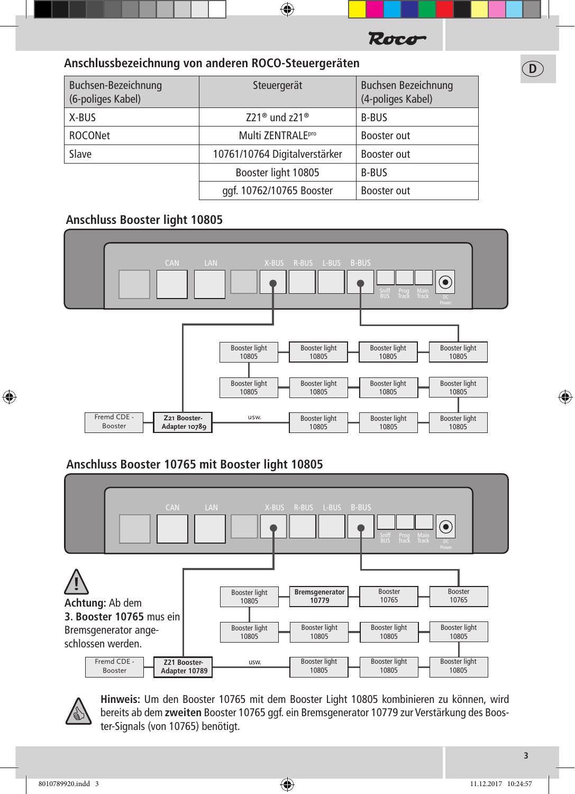

**D**

⊕

## **Anschlussbezeichnung von anderen ROCO-Steuergeräten**

| Buchsen-Bezeichnung<br>(6-poliges Kabel) | Steuergerät                     | Buchsen Bezeichnung<br>(4-poliges Kabel) |
|------------------------------------------|---------------------------------|------------------------------------------|
| X-BUS                                    | $Z21^{\circ}$ und $Z21^{\circ}$ | <b>B-BUS</b>                             |
| <b>ROCONet</b>                           | Multi ZENTRALEPro               | Booster out                              |
| Slave                                    | 10761/10764 Digitalverstärker   | Booster out                              |
|                                          | Booster light 10805             | <b>B-BUS</b>                             |
|                                          | ggf. 10762/10765 Booster        | Booster out                              |

 $\bigoplus$ 

## **Anschluss Booster light 10805**



## **Anschluss Booster 10765 mit Booster light 10805**



**Hinweis:** Um den Booster 10765 mit dem Booster Light 10805 kombinieren zu können, wird bereits ab dem **zweiten** Booster 10765 ggf. ein Bremsgenerator 10779 zur Verstärkung des Booster-Signals (von 10765) benötigt.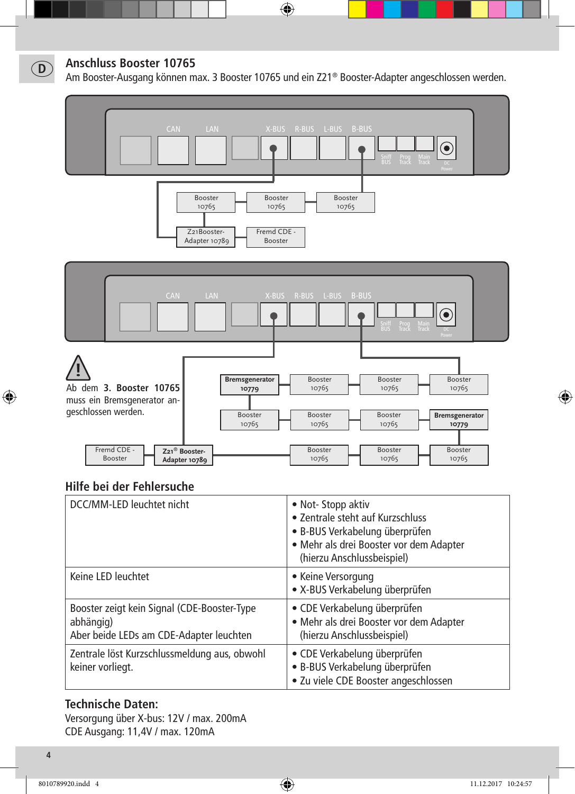

#### **Anschluss Booster 10765**

Am Booster-Ausgang können max. 3 Booster 10765 und ein Z21® Booster-Adapter angeschlossen werden.

 $\bigoplus$ 



### **Hilfe bei der Fehlersuche**

| DCC/MM-LED leuchtet nicht                                                                           | • Not-Stopp aktiv<br>• Zentrale steht auf Kurzschluss<br>• B-BUS Verkabelung überprüfen<br>· Mehr als drei Booster vor dem Adapter<br>(hierzu Anschlussbeispiel) |
|-----------------------------------------------------------------------------------------------------|------------------------------------------------------------------------------------------------------------------------------------------------------------------|
| Keine LED leuchtet                                                                                  | • Keine Versorgung<br>• X-BUS Verkabelung überprüfen                                                                                                             |
| Booster zeigt kein Signal (CDE-Booster-Type<br>abhängig)<br>Aber beide LEDs am CDE-Adapter leuchten | • CDE Verkabelung überprüfen<br>· Mehr als drei Booster vor dem Adapter<br>(hierzu Anschlussbeispiel)                                                            |
| Zentrale löst Kurzschlussmeldung aus, obwohl<br>keiner vorliegt.                                    | • CDE Verkabelung überprüfen<br>· B-BUS Verkabelung überprüfen<br>· Zu viele CDE Booster angeschlossen                                                           |

#### **Technische Daten:**

Versorgung über X-bus: 12V / max. 200mA CDE Ausgang: 11,4V / max. 120mA

⊕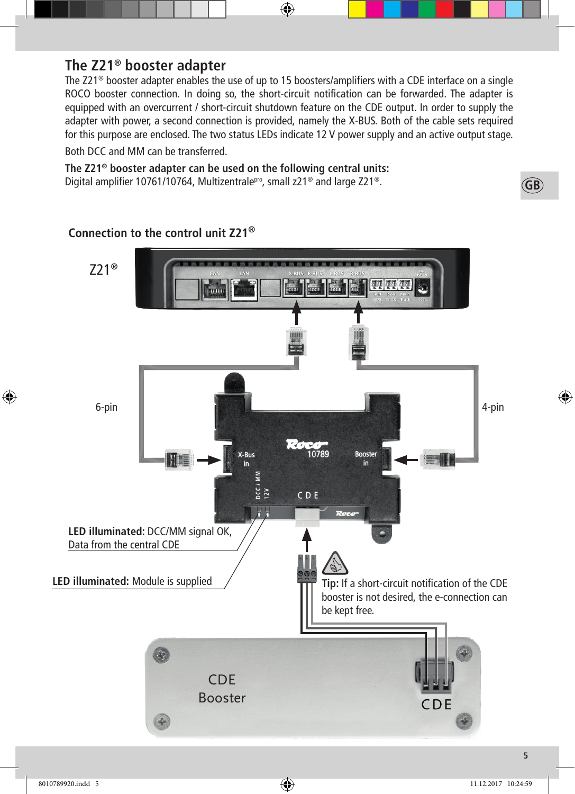# **The Z21® booster adapter**

The Z21® booster adapter enables the use of up to 15 boosters/amplifiers with a CDE interface on a single ROCO booster connection. In doing so, the short-circuit notification can be forwarded. The adapter is equipped with an overcurrent / short-circuit shutdown feature on the CDE output. In order to supply the adapter with power, a second connection is provided, namely the X-BUS. Both of the cable sets required for this purpose are enclosed. The two status LEDs indicate 12 V power supply and an active output stage.

↔

Both DCC and MM can be transferred.

**The Z21**® **booster adapter can be used on the following central units:**

Digital amplifier 10761/10764, Multizentrale<sup>pro</sup>, small z21<sup>®</sup> and large Z21<sup>®</sup>.

Z21**®** 22 22 22 6-pin || 4-pin || 4-pin || 4-pin || 4-pin || 4-pin || 4-pin || 4-pin || 4-pin || 4-pin || 4-pin || 4-pin || 4-pin || 4-pin || 4-pin || 4-pin || 4-pin || 4-pin || 4-pin || 4-pin || 4-pin || 4-pin || 4-pin || 4-pin || 4-pin  $X-Bus$ 10789 HE  $\frac{1}{2}$ CDE **LED illuminated:** DCC/MM signal OK, Τ Data from the central CDE **LED illuminated:** Module is supplied **Tip:** If a short-circuit notification of the CDE booster is not desired, the e-connection can be kept free. CDE Booster CDE

## **Connection to the control unit Z21®**

⊕

**GB**

♠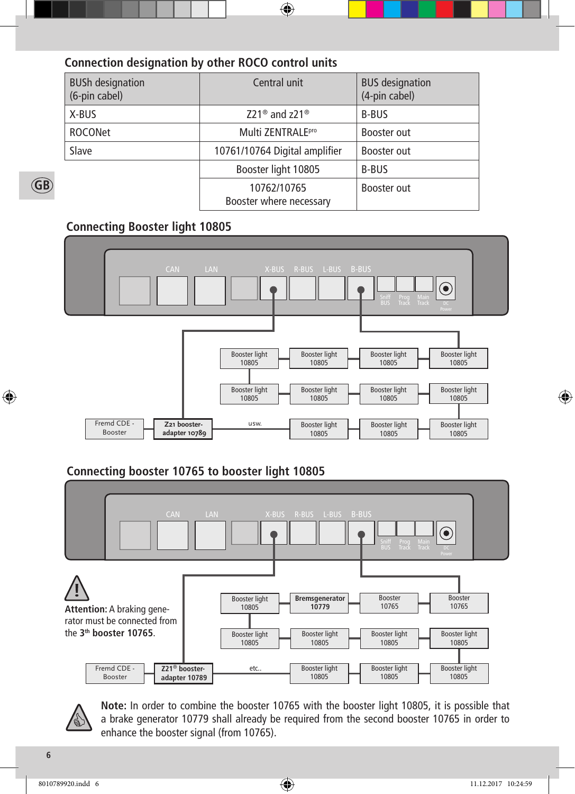| <b>BUSh designation</b><br>(6-pin cabel) | Central unit                           | <b>BUS</b> designation<br>(4-pin cabel) |  |
|------------------------------------------|----------------------------------------|-----------------------------------------|--|
| X-BUS                                    | Z21 <sup>®</sup> and z21 <sup>®</sup>  | <b>B-BUS</b>                            |  |
| <b>ROCONet</b>                           | Multi ZENTRALE <sup>pro</sup>          | Booster out                             |  |
| Slave                                    | 10761/10764 Digital amplifier          | Booster out                             |  |
|                                          | Booster light 10805                    | <b>B-BUS</b>                            |  |
|                                          | 10762/10765<br>Booster where necessary | Booster out                             |  |

# **Connection designation by other ROCO control units**

## **Connecting Booster light 10805**

**GB**

 $\bigoplus$ 



## **Connecting booster 10765 to booster light 10805**





**Note:** In order to combine the booster 10765 with the booster light 10805, it is possible that a brake generator 10779 shall already be required from the second booster 10765 in order to enhance the booster signal (from 10765).

⊕

**6**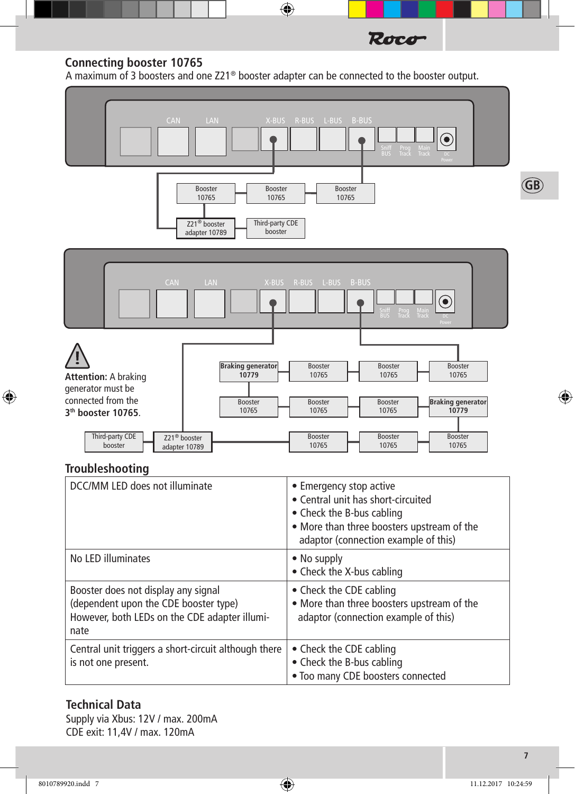

### **Troubleshooting**

 $\bigoplus$ 

| DCC/MM LED does not illuminate                                                                                                        | • Emergency stop active<br>• Central unit has short-circuited<br>• Check the B-bus cabling<br>. More than three boosters upstream of the<br>adaptor (connection example of this) |
|---------------------------------------------------------------------------------------------------------------------------------------|----------------------------------------------------------------------------------------------------------------------------------------------------------------------------------|
| No LED illuminates                                                                                                                    | $\bullet$ No supply<br>• Check the X-bus cabling                                                                                                                                 |
| Booster does not display any signal<br>(dependent upon the CDE booster type)<br>However, both LEDs on the CDE adapter illumi-<br>nate | • Check the CDE cabling<br>. More than three boosters upstream of the<br>adaptor (connection example of this)                                                                    |
| Central unit triggers a short-circuit although there<br>is not one present.                                                           | • Check the CDE cabling<br>• Check the B-bus cabling<br>. Too many CDE boosters connected                                                                                        |

### **Technical Data**

Supply via Xbus: 12V / max. 200mA CDE exit: 11,4V / max. 120mA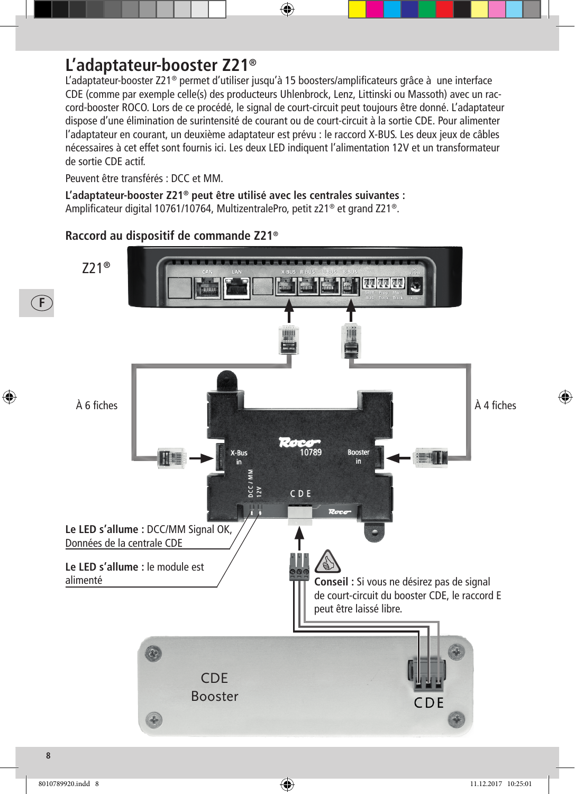# **L'adaptateur-booster Z21®**

L'adaptateur-booster Z21® permet d'utiliser jusqu'à 15 boosters/amplificateurs grâce à une interface CDE (comme par exemple celle(s) des producteurs Uhlenbrock, Lenz, Littinski ou Massoth) avec un raccord-booster ROCO. Lors de ce procédé, le signal de court-circuit peut toujours être donné. L'adaptateur dispose d'une élimination de surintensité de courant ou de court-circuit à la sortie CDE. Pour alimenter l'adaptateur en courant, un deuxième adaptateur est prévu : le raccord X-BUS. Les deux jeux de câbles nécessaires à cet effet sont fournis ici. Les deux LED indiquent l'alimentation 12V et un transformateur de sortie CDE actif.

↔

Peuvent être transférés : DCC et MM.

**L'adaptateur-booster Z21® peut être utilisé avec les centrales suivantes :**  Amplificateur digital 10761/10764, MultizentralePro, petit z21® et grand Z21®.



#### **Raccord au dispositif de commande Z21®**

⊕

♠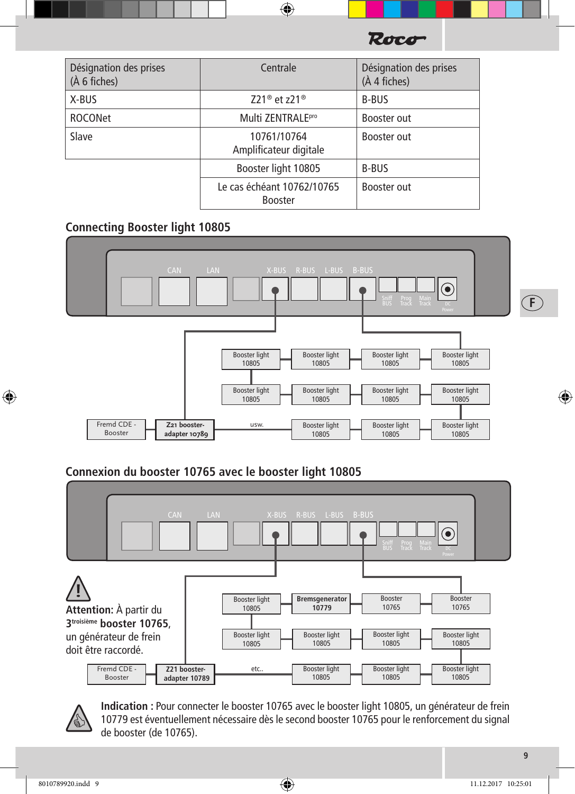Roco

| Désignation des prises<br>$(\overline{A} 6$ fiches) | Centrale                                     | Désignation des prises<br>$(\overline{A} 4$ fiches) |
|-----------------------------------------------------|----------------------------------------------|-----------------------------------------------------|
| X-BUS                                               | 721 <sup>®</sup> et z21 <sup>®</sup>         | <b>B-BUS</b>                                        |
| <b>ROCONet</b>                                      | Multi ZENTRALEPro                            | Booster out                                         |
| Slave                                               | 10761/10764<br>Amplificateur digitale        | Booster out                                         |
|                                                     | Booster light 10805                          | <b>B-BUS</b>                                        |
|                                                     | Le cas échéant 10762/10765<br><b>Booster</b> | Booster out                                         |

 $\bigoplus$ 

## **Connecting Booster light 10805**



# **Connexion du booster 10765 avec le booster light 10805**





 $\bigoplus$ 

**Indication :** Pour connecter le booster 10765 avec le booster light 10805, un générateur de frein 10779 est éventuellement nécessaire dès le second booster 10765 pour le renforcement du signal de booster (de 10765).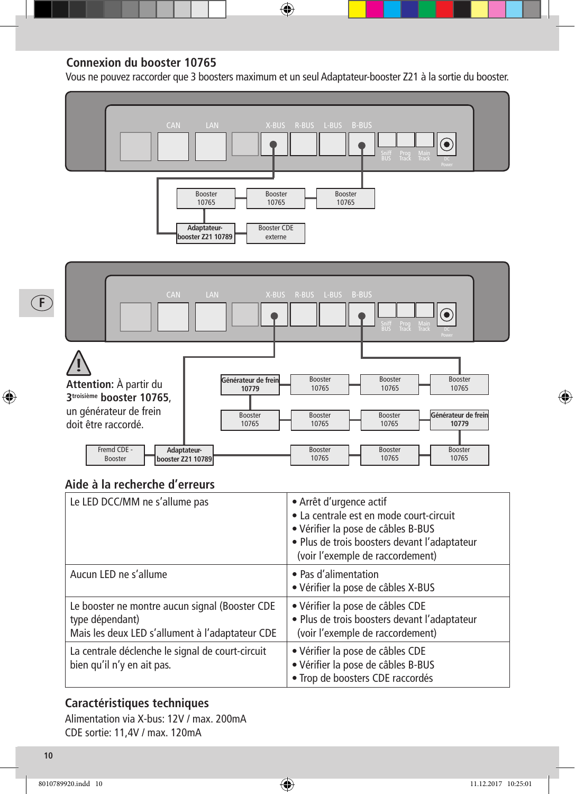#### **Connexion du booster 10765**

Vous ne pouvez raccorder que 3 boosters maximum et un seul Adaptateur-booster Z21 à la sortie du booster.

 $\bigoplus$ 



### **Aide à la recherche d'erreurs**

| Le LED DCC/MM ne s'allume pas                                                                                        | • Arrêt d'urgence actif<br>• La centrale est en mode court-circuit<br>• Vérifier la pose de câbles B-BUS<br>· Plus de trois boosters devant l'adaptateur<br>(voir l'exemple de raccordement) |
|----------------------------------------------------------------------------------------------------------------------|----------------------------------------------------------------------------------------------------------------------------------------------------------------------------------------------|
| Aucun LED ne s'allume                                                                                                | • Pas d'alimentation<br>• Vérifier la pose de câbles X-BUS                                                                                                                                   |
| Le booster ne montre aucun signal (Booster CDE<br>type dépendant)<br>Mais les deux LED s'allument à l'adaptateur CDE | • Vérifier la pose de câbles CDE<br>. Plus de trois boosters devant l'adaptateur<br>(voir l'exemple de raccordement)                                                                         |
| La centrale déclenche le signal de court-circuit<br>bien qu'il n'y en ait pas.                                       | • Vérifier la pose de câbles CDE<br>· Vérifier la pose de câbles B-BUS<br>• Trop de boosters CDE raccordés                                                                                   |

## **Caractéristiques techniques**

Alimentation via X-bus: 12V / max. 200mA CDE sortie: 11,4V / max. 120mA

**F**

 $\bigoplus$ 

⊕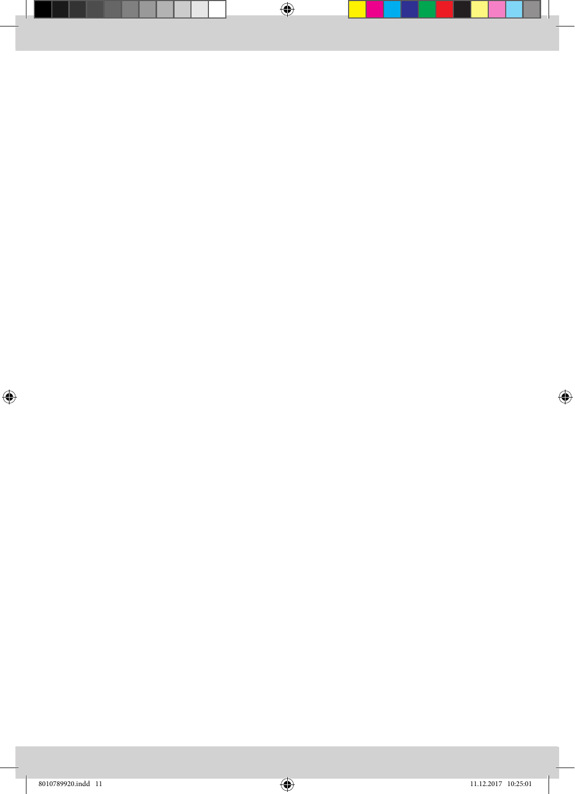